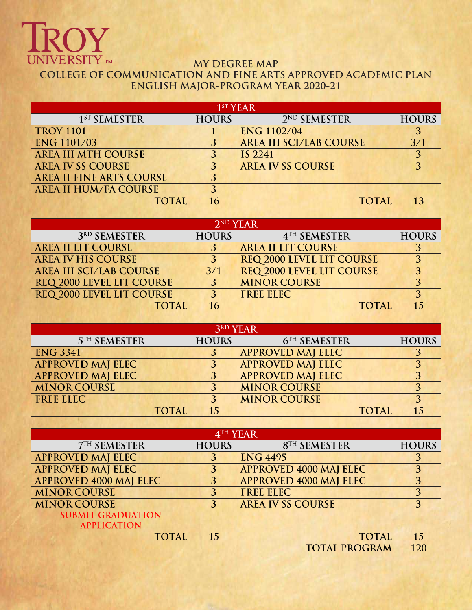# **TROY**

## **MY DEGREE MAP COLLEGE OF COMMUNICATION AND FINE ARTS APPROVED ACADEMIC PLAN ENGLISH MAJOR-PROGRAM YEAR 2020-21**

| 1 <sup>ST</sup> YEAR             |                |                                      |                           |  |  |  |
|----------------------------------|----------------|--------------------------------------|---------------------------|--|--|--|
| 1 <sup>ST</sup> SEMESTER         | <b>HOURS</b>   | 2 <sup>ND</sup> SEMESTER             | <b>HOURS</b>              |  |  |  |
| <b>TROY 1101</b>                 | 1              | <b>ENG 1102/04</b>                   | 3                         |  |  |  |
| <b>ENG 1101/03</b>               | 3              | <b>AREA III SCI/LAB COURSE</b>       | 3/1                       |  |  |  |
| <b>AREA III MTH COURSE</b>       | 3              | <b>IS 2241</b>                       | 3                         |  |  |  |
| <b>AREA IV SS COURSE</b>         | 3              | <b>AREA IV SS COURSE</b>             | $\overline{3}$            |  |  |  |
| <b>AREA II FINE ARTS COURSE</b>  | $\overline{3}$ |                                      |                           |  |  |  |
| <b>AREA II HUM/FA COURSE</b>     | $\overline{3}$ |                                      |                           |  |  |  |
| <b>TOTAL</b>                     | 16             | <b>TOTAL</b>                         | 13                        |  |  |  |
|                                  |                |                                      |                           |  |  |  |
|                                  |                | 2 <sup>ND</sup> YEAR                 |                           |  |  |  |
| 3RD SEMESTER                     | <b>HOURS</b>   | 4TH SEMESTER                         | <b>HOURS</b>              |  |  |  |
| <b>AREA II LIT COURSE</b>        | 3              | <b>AREA II LIT COURSE</b>            | 3                         |  |  |  |
| <b>AREA IV HIS COURSE</b>        | $\overline{3}$ | <b>REQ 2000 LEVEL LIT COURSE</b>     | $\overline{3}$            |  |  |  |
| <b>AREA III SCI/LAB COURSE</b>   | 3/1            | REQ 2000 LEVEL LIT COURSE            | $\overline{3}$            |  |  |  |
| <b>REQ 2000 LEVEL LIT COURSE</b> | 3              | <b>MINOR COURSE</b>                  | $\overline{3}$            |  |  |  |
| <b>REQ 2000 LEVEL LIT COURSE</b> | $\overline{3}$ | <b>FREE ELEC</b>                     | $\overline{3}$            |  |  |  |
| <b>TOTAL</b>                     | 16             | <b>TOTAL</b>                         | 15                        |  |  |  |
|                                  |                |                                      |                           |  |  |  |
| <b>3RD YEAR</b>                  |                |                                      |                           |  |  |  |
|                                  |                |                                      |                           |  |  |  |
| <b>5TH SEMESTER</b>              | <b>HOURS</b>   | 6TH SEMESTER                         | <b>HOURS</b>              |  |  |  |
| <b>ENG 3341</b>                  | 3              | <b>APPROVED MAJ ELEC</b>             | 3                         |  |  |  |
| <b>APPROVED MAJ ELEC</b>         | $\overline{3}$ | <b>APPROVED MAJ ELEC</b>             | $\overline{3}$            |  |  |  |
| <b>APPROVED MAJ ELEC</b>         | 3              | <b>APPROVED MAJ ELEC</b>             | $\overline{3}$            |  |  |  |
| <b>MINOR COURSE</b>              | $\overline{3}$ | <b>MINOR COURSE</b>                  | $\overline{3}$            |  |  |  |
| <b>FREE ELEC</b>                 | $\overline{3}$ | <b>MINOR COURSE</b>                  | $\overline{3}$            |  |  |  |
| <b>TOTAL</b>                     | 15             | <b>TOTAL</b>                         | 15                        |  |  |  |
|                                  |                |                                      |                           |  |  |  |
|                                  |                | 4TH YEAR                             |                           |  |  |  |
| 7 <sup>TH</sup> SEMESTER         | <b>HOURS</b>   | 8TH SEMESTER                         |                           |  |  |  |
| <b>APPROVED MAJ ELEC</b>         | 3              | <b>ENG 4495</b>                      | 3                         |  |  |  |
| <b>APPROVED MAJ ELEC</b>         | 3              | <b>APPROVED 4000 MAJ ELEC</b>        | $\overline{3}$            |  |  |  |
| <b>APPROVED 4000 MAJ ELEC</b>    | $\overline{3}$ | <b>APPROVED 4000 MAJ ELEC</b>        | $\overline{3}$            |  |  |  |
| <b>MINOR COURSE</b>              | 3              | <b>FREE ELEC</b>                     | $\overline{3}$            |  |  |  |
| <b>MINOR COURSE</b>              | $\overline{3}$ | <b>AREA IV SS COURSE</b>             | $\overline{3}$            |  |  |  |
| <b>SUBMIT GRADUATION</b>         |                |                                      |                           |  |  |  |
| <b>APPLICATION</b>               |                |                                      |                           |  |  |  |
| <b>TOTAL</b>                     | 15             | <b>TOTAL</b><br><b>TOTAL PROGRAM</b> | <b>HOURS</b><br>15<br>120 |  |  |  |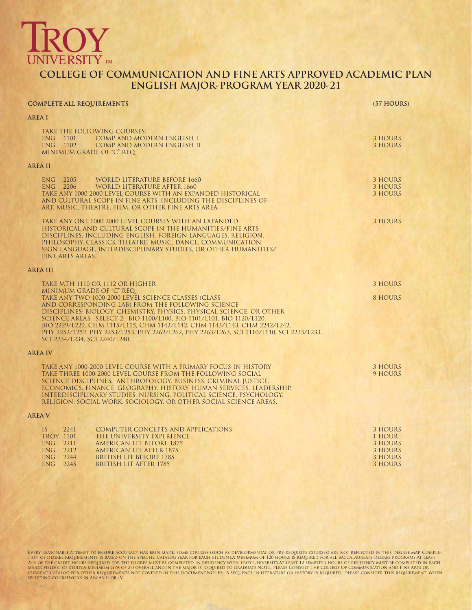## **INIVERSITY** TM

### **COLLEGE OF COMMUNICATION AND FINE ARTS APPROVED ACADEMIC PLAN ENGLISH MAJOR-PROGRAM YEAR 2020-21**

### **COMPLETE ALL REQUIREMENTS (57 HOURS) AREA I** TAKE THE FOLLOWING COURSES:<br>ENG 1101 COMP AND MOI ENG 1101 COMP AND MODERN ENGLISH I 3 HOURS ENG 1102 COMP AND MODERN ENGLISH II 3 HOURS MINIMUM GRADE OF "C" REQ **AREA II** ENG 2205 WORLD LITERATURE BEFORE 1660 3 HOURS 2206 WORLD LITERATURE AFTER 1660 ENG 22 MORE DUITERATURE AFTER 1660<br>22 MORE DUITERATURE ANN EXPANDED HISTORICAL SERVICES AND MORE SUPPORT OF STOURS TAKE ANY 1000 2000 LEVEL COURSE WITH AN EXPANDED HISTORICAL AND CULTURAL SCOPE IN FINE ARTS, INCLUDING THE DISCIPLINES OF ART, MUSIC, THEATRE, FILM, OR OTHER FINE ARTS AREA. TAKE ANY ONE 1000 2000 LEVEL COURSES WITH AN EXPANDED 3 HOURS 3 HOURS 3 HOURS HISTORICAL AND CULTURAL SCOPE IN THE HUMANITIES/FINE ARTS DISCIPLINES, INCLUDING ENGLISH, FOREIGN LANGUAGES, RELIGION, PHILOSOPHY, CLASSICS, THEATRE, MUSIC, DANCE, COMMUNICATION, SIGN LANGUAGE, INTERDISCIPLINARY STUDIES, OR OTHER HUMANITIES/ FINE ARTS AREAS. **AREA III** TAKE MTH 1110 OR 1112 OR HIGHER 3 HOURS AND THE RESEARCH OF THE RESEARCH OF THE RESEARCH OF THE RESEARCH OF THE ST MINIMUM GRADE OF "C" REQ TAKE ANY TWO 1000-2000 LEVEL SCIENCE CLASSES (CLASS 8 HOURS 8 HOURS 8 HOURS 8 HOURS AND CORRESPONDING LAB) FROM THE FOLLOWING SCIENCE DISCIPLINES: BIOLOGY, CHEMISTRY, PHYSICS, PHYSICAL SCIENCE, OR OTHER SCIENCE AREAS. SELECT 2: BIO 1100/L100, BIO 1101/L101, BIO 1120/L120, BIO 2229/L229, CHM 1115/L115, CHM 1142/L142, CHM 1143/L143, CHM 2242/L242, PHY 2252/L252, PHY 2253/L253, PHY 2262/L262, PHY 2263/L263, SCI 1110/L110, SCI 2233/L233, SCI 2234/L234, SCI 2240/L240. **AREA IV** TAKE ANY 1000-2000 LEVEL COURSE WITH A PRIMARY FOCUS IN HISTORY TAKE THREE 1000-2000 LEVEL COURSE FROM THE FOLLOWING SOCIAL \$ HOURS TAKE THREE 1000-2000 LEVEL COURSE FROM THE FOLLOWING SOCIAL SCIENCE DISCIPLINES: ANTHROPOLOGY, BUSINESS, CRIMINAL JUSTICE, ECONOMICS, FINANCE, GEOGRAPHY, HISTORY, HUMAN SERVICES, LEADERSHIP, INTERDISCIPLINARY STUDIES, NURSING, POLITICAL SCIENCE, PSYCHOLOGY, RELIGION, SOCIAL WORK, SOCIOLOGY, OR OTHER SOCIAL SCIENCE AREAS. **AREA V** IS 2241 COMPUTER CONCEPTS AND APPLICATIONS (3) THOURS 3 HOURS (3) TROY 1101 THE UNIVERSITY EXPERIENCE TROY 1101 THE UNIVERSITY EXPERIENCE 1 HOUR ENG 2211 AMERICAN LIT BEFORE 1875 3 HOURS ENG 2212 AMERICAN LIT AFTER 1875 (STATE AND THE SERIES AND A SHOURS AND SHOURS AND SHOURS AND SHOURS AND SHOURS AND SHOURS AND SHOURS AND SHOURS AND SHOURS AND SHOURS AND SHOURS AND SHOURS AND SHOURS AND SHOURS AND SHOURS ENG 2244 BRITISH LIT BEFORE 1785 3 HOURS **BRITISH LIT AFTER 1785**

Every reasonable attempt to ensure accuracy has been made. Some courses (such as developmental or pre-requisite courses) are not reflected in this degree map. Completion of degree requirements is based on the specific catalog year for each student.A minimum of 120 hours is required for all baccalaureate degree programs.At least 25% of the credit hours required for the degree must be completed in residency with Troy University.At least 12 semester hours of residency must be completed in each<br>Major field(s) of study.A minimum GPA overall and in the selecting coursework in AREAS II or IV,